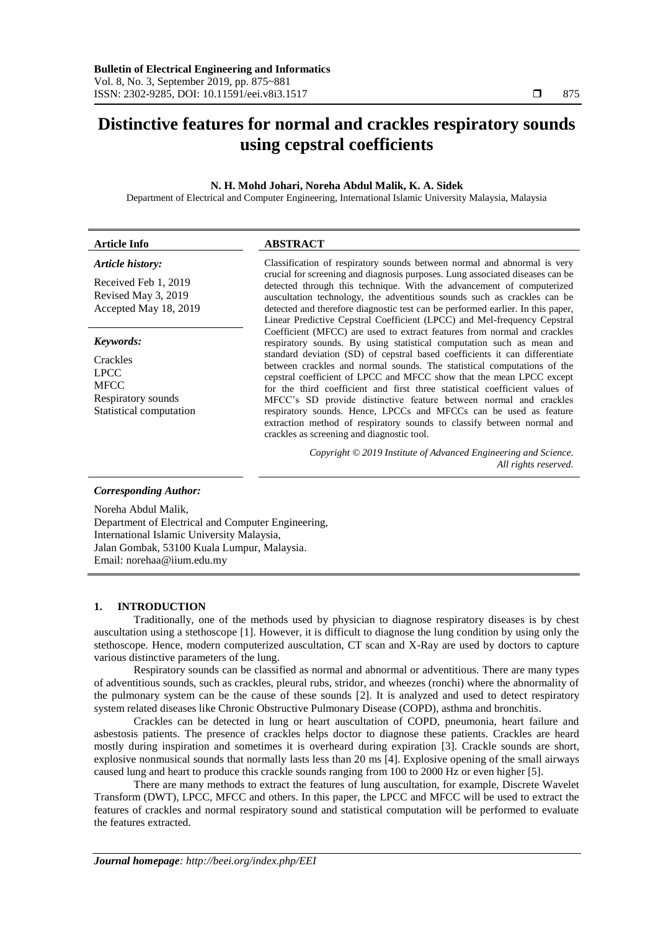# **Distinctive features for normal and crackles respiratory sounds using cepstral coefficients**

# **N. H. Mohd Johari, Noreha Abdul Malik, K. A. Sidek**

Department of Electrical and Computer Engineering, International Islamic University Malaysia, Malaysia

| Article Info                                                                                    | <b>ABSTRACT</b>                                                                                                                                                                                                                                                                                                                                                                                                                                                                                                                                                                                                                                                                                                                                                                                                                                                                                                                                                                                                                                                                                                                                                                                                       |  |  |
|-------------------------------------------------------------------------------------------------|-----------------------------------------------------------------------------------------------------------------------------------------------------------------------------------------------------------------------------------------------------------------------------------------------------------------------------------------------------------------------------------------------------------------------------------------------------------------------------------------------------------------------------------------------------------------------------------------------------------------------------------------------------------------------------------------------------------------------------------------------------------------------------------------------------------------------------------------------------------------------------------------------------------------------------------------------------------------------------------------------------------------------------------------------------------------------------------------------------------------------------------------------------------------------------------------------------------------------|--|--|
| <b>Article history:</b><br>Received Feb 1, 2019<br>Revised May 3, 2019<br>Accepted May 18, 2019 | Classification of respiratory sounds between normal and abnormal is very<br>crucial for screening and diagnosis purposes. Lung associated diseases can be<br>detected through this technique. With the advancement of computerized<br>auscultation technology, the adventitious sounds such as crackles can be<br>detected and therefore diagnostic test can be performed earlier. In this paper,<br>Linear Predictive Cepstral Coefficient (LPCC) and Mel-frequency Cepstral<br>Coefficient (MFCC) are used to extract features from normal and crackles<br>respiratory sounds. By using statistical computation such as mean and<br>standard deviation (SD) of cepstral based coefficients it can differentiate<br>between crackles and normal sounds. The statistical computations of the<br>cepstral coefficient of LPCC and MFCC show that the mean LPCC except<br>for the third coefficient and first three statistical coefficient values of<br>MFCC's SD provide distinctive feature between normal and crackles<br>respiratory sounds. Hence, LPCCs and MFCCs can be used as feature<br>extraction method of respiratory sounds to classify between normal and<br>crackles as screening and diagnostic tool. |  |  |
| Keywords:                                                                                       |                                                                                                                                                                                                                                                                                                                                                                                                                                                                                                                                                                                                                                                                                                                                                                                                                                                                                                                                                                                                                                                                                                                                                                                                                       |  |  |
| Crackles<br><b>LPCC</b><br><b>MFCC</b><br>Respiratory sounds<br>Statistical computation         |                                                                                                                                                                                                                                                                                                                                                                                                                                                                                                                                                                                                                                                                                                                                                                                                                                                                                                                                                                                                                                                                                                                                                                                                                       |  |  |
|                                                                                                 | Copyright © 2019 Institute of Advanced Engineering and Science.<br>All rights reserved.                                                                                                                                                                                                                                                                                                                                                                                                                                                                                                                                                                                                                                                                                                                                                                                                                                                                                                                                                                                                                                                                                                                               |  |  |
| <b>Corresponding Author:</b><br>Noreha Abdul Malik                                              |                                                                                                                                                                                                                                                                                                                                                                                                                                                                                                                                                                                                                                                                                                                                                                                                                                                                                                                                                                                                                                                                                                                                                                                                                       |  |  |

Noreha Abdul Malik, Department of Electrical and Computer Engineering,

International Islamic University Malaysia, Jalan Gombak, 53100 Kuala Lumpur, Malaysia. Email: norehaa@iium.edu.my

### **1. INTRODUCTION**

Traditionally, one of the methods used by physician to diagnose respiratory diseases is by chest auscultation using a stethoscope [1]. However, it is difficult to diagnose the lung condition by using only the stethoscope. Hence, modern computerized auscultation, CT scan and X-Ray are used by doctors to capture various distinctive parameters of the lung.

Respiratory sounds can be classified as normal and abnormal or adventitious. There are many types of adventitious sounds, such as crackles, pleural rubs, stridor, and wheezes (ronchi) where the abnormality of the pulmonary system can be the cause of these sounds [2]. It is analyzed and used to detect respiratory system related diseases like Chronic Obstructive Pulmonary Disease (COPD), asthma and bronchitis.

Crackles can be detected in lung or heart auscultation of COPD, pneumonia, heart failure and asbestosis patients. The presence of crackles helps doctor to diagnose these patients. Crackles are heard mostly during inspiration and sometimes it is overheard during expiration [3]. Crackle sounds are short, explosive nonmusical sounds that normally lasts less than 20 ms [4]. Explosive opening of the small airways caused lung and heart to produce this crackle sounds ranging from 100 to 2000 Hz or even higher [5].

There are many methods to extract the features of lung auscultation, for example, Discrete Wavelet Transform (DWT), LPCC, MFCC and others. In this paper, the LPCC and MFCC will be used to extract the features of crackles and normal respiratory sound and statistical computation will be performed to evaluate the features extracted.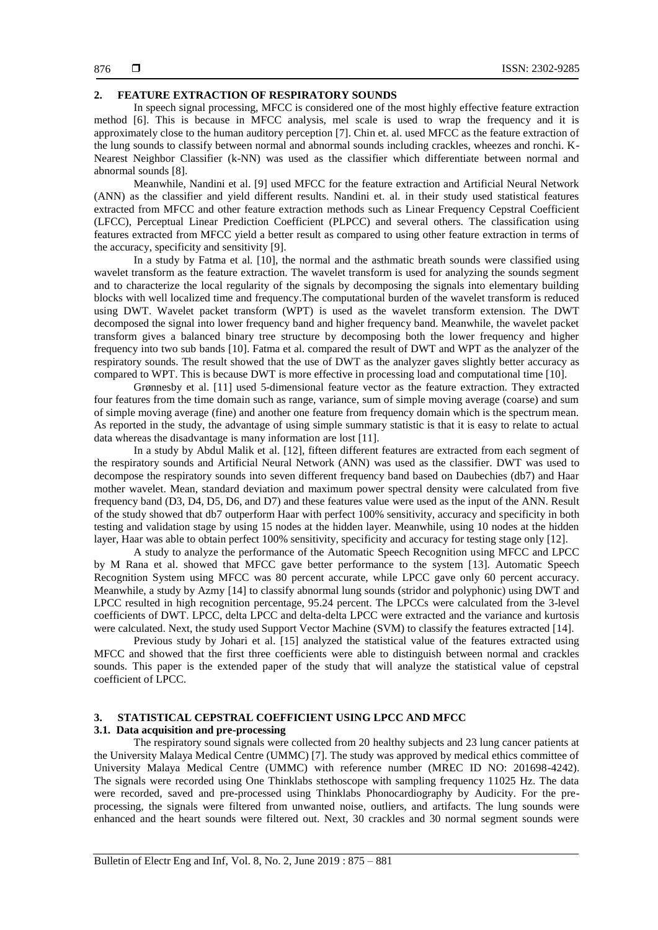# **2. FEATURE EXTRACTION OF RESPIRATORY SOUNDS**

In speech signal processing, MFCC is considered one of the most highly effective feature extraction method [6]. This is because in MFCC analysis, mel scale is used to wrap the frequency and it is approximately close to the human auditory perception [7]. Chin et. al. used MFCC as the feature extraction of the lung sounds to classify between normal and abnormal sounds including crackles, wheezes and ronchi. K-Nearest Neighbor Classifier (k-NN) was used as the classifier which differentiate between normal and abnormal sounds [8].

Meanwhile, Nandini et al. [9] used MFCC for the feature extraction and Artificial Neural Network (ANN) as the classifier and yield different results. Nandini et. al. in their study used statistical features extracted from MFCC and other feature extraction methods such as Linear Frequency Cepstral Coefficient (LFCC), Perceptual Linear Prediction Coefficient (PLPCC) and several others. The classification using features extracted from MFCC yield a better result as compared to using other feature extraction in terms of the accuracy, specificity and sensitivity [9].

In a study by Fatma et al. [10], the normal and the asthmatic breath sounds were classified using wavelet transform as the feature extraction. The wavelet transform is used for analyzing the sounds segment and to characterize the local regularity of the signals by decomposing the signals into elementary building blocks with well localized time and frequency.The computational burden of the wavelet transform is reduced using DWT. Wavelet packet transform (WPT) is used as the wavelet transform extension. The DWT decomposed the signal into lower frequency band and higher frequency band. Meanwhile, the wavelet packet transform gives a balanced binary tree structure by decomposing both the lower frequency and higher frequency into two sub bands [10]. Fatma et al. compared the result of DWT and WPT as the analyzer of the respiratory sounds. The result showed that the use of DWT as the analyzer gaves slightly better accuracy as compared to WPT. This is because DWT is more effective in processing load and computational time [10].

Grønnesby et al. [11] used 5-dimensional feature vector as the feature extraction. They extracted four features from the time domain such as range, variance, sum of simple moving average (coarse) and sum of simple moving average (fine) and another one feature from frequency domain which is the spectrum mean. As reported in the study, the advantage of using simple summary statistic is that it is easy to relate to actual data whereas the disadvantage is many information are lost [11].

In a study by Abdul Malik et al. [12], fifteen different features are extracted from each segment of the respiratory sounds and Artificial Neural Network (ANN) was used as the classifier. DWT was used to decompose the respiratory sounds into seven different frequency band based on Daubechies (db7) and Haar mother wavelet. Mean, standard deviation and maximum power spectral density were calculated from five frequency band (D3, D4, D5, D6, and D7) and these features value were used as the input of the ANN. Result of the study showed that db7 outperform Haar with perfect 100% sensitivity, accuracy and specificity in both testing and validation stage by using 15 nodes at the hidden layer. Meanwhile, using 10 nodes at the hidden layer, Haar was able to obtain perfect 100% sensitivity, specificity and accuracy for testing stage only [12].

A study to analyze the performance of the Automatic Speech Recognition using MFCC and LPCC by M Rana et al. showed that MFCC gave better performance to the system [13]. Automatic Speech Recognition System using MFCC was 80 percent accurate, while LPCC gave only 60 percent accuracy. Meanwhile, a study by Azmy [14] to classify abnormal lung sounds (stridor and polyphonic) using DWT and LPCC resulted in high recognition percentage, 95.24 percent. The LPCCs were calculated from the 3-level coefficients of DWT. LPCC, delta LPCC and delta-delta LPCC were extracted and the variance and kurtosis were calculated. Next, the study used Support Vector Machine (SVM) to classify the features extracted [14].

Previous study by Johari et al. [15] analyzed the statistical value of the features extracted using MFCC and showed that the first three coefficients were able to distinguish between normal and crackles sounds. This paper is the extended paper of the study that will analyze the statistical value of cepstral coefficient of LPCC.

# **3. STATISTICAL CEPSTRAL COEFFICIENT USING LPCC AND MFCC**

# **3.1. Data acquisition and pre-processing**

The respiratory sound signals were collected from 20 healthy subjects and 23 lung cancer patients at the University Malaya Medical Centre (UMMC) [7]. The study was approved by medical ethics committee of University Malaya Medical Centre (UMMC) with reference number (MREC ID NO: 201698-4242). The signals were recorded using One Thinklabs stethoscope with sampling frequency 11025 Hz. The data were recorded, saved and pre-processed using Thinklabs Phonocardiography by Audicity. For the preprocessing, the signals were filtered from unwanted noise, outliers, and artifacts. The lung sounds were enhanced and the heart sounds were filtered out. Next, 30 crackles and 30 normal segment sounds were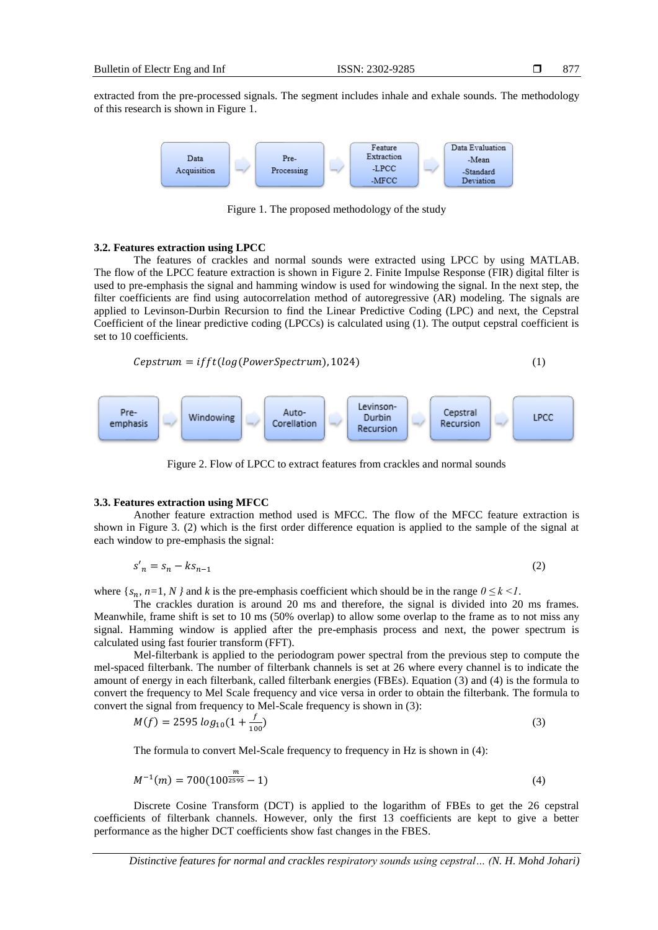877

extracted from the pre-processed signals. The segment includes inhale and exhale sounds. The methodology of this research is shown in Figure 1.



Figure 1. The proposed methodology of the study

#### **3.2. Features extraction using LPCC**

The features of crackles and normal sounds were extracted using LPCC by using MATLAB. The flow of the LPCC feature extraction is shown in Figure 2. Finite Impulse Response (FIR) digital filter is used to pre-emphasis the signal and hamming window is used for windowing the signal. In the next step, the filter coefficients are find using autocorrelation method of autoregressive (AR) modeling. The signals are applied to Levinson-Durbin Recursion to find the Linear Predictive Coding (LPC) and next, the Cepstral Coefficient of the linear predictive coding (LPCCs) is calculated using (1). The output cepstral coefficient is set to 10 coefficients.

$$
Cepstrum = ifft(log(PowerSpectrum), 1024)
$$
\n(1)



Figure 2. Flow of LPCC to extract features from crackles and normal sounds

### **3.3. Features extraction using MFCC**

Another feature extraction method used is MFCC. The flow of the MFCC feature extraction is shown in Figure 3. (2) which is the first order difference equation is applied to the sample of the signal at each window to pre-emphasis the signal:

$$
s'_n = s_n - k s_{n-1} \tag{2}
$$

where  $\{s_n, n=1, N\}$  and *k* is the pre-emphasis coefficient which should be in the range  $0 \le k \le l$ .

The crackles duration is around 20 ms and therefore, the signal is divided into 20 ms frames. Meanwhile, frame shift is set to 10 ms (50% overlap) to allow some overlap to the frame as to not miss any signal. Hamming window is applied after the pre-emphasis process and next, the power spectrum is calculated using fast fourier transform (FFT).

Mel-filterbank is applied to the periodogram power spectral from the previous step to compute the mel-spaced filterbank. The number of filterbank channels is set at 26 where every channel is to indicate the amount of energy in each filterbank, called filterbank energies (FBEs). Equation (3) and (4) is the formula to convert the frequency to Mel Scale frequency and vice versa in order to obtain the filterbank. The formula to convert the signal from frequency to Mel-Scale frequency is shown in (3):

$$
M(f) = 2595 \log_{10}(1 + \frac{f}{100})
$$
\n(3)

The formula to convert Mel-Scale frequency to frequency in Hz is shown in (4):

$$
M^{-1}(m) = 700(100^{\frac{m}{2595}} - 1) \tag{4}
$$

Discrete Cosine Transform (DCT) is applied to the logarithm of FBEs to get the 26 cepstral coefficients of filterbank channels. However, only the first 13 coefficients are kept to give a better performance as the higher DCT coefficients show fast changes in the FBES.

*Distinctive features for normal and crackles respiratory sounds using cepstral… (N. H. Mohd Johari)*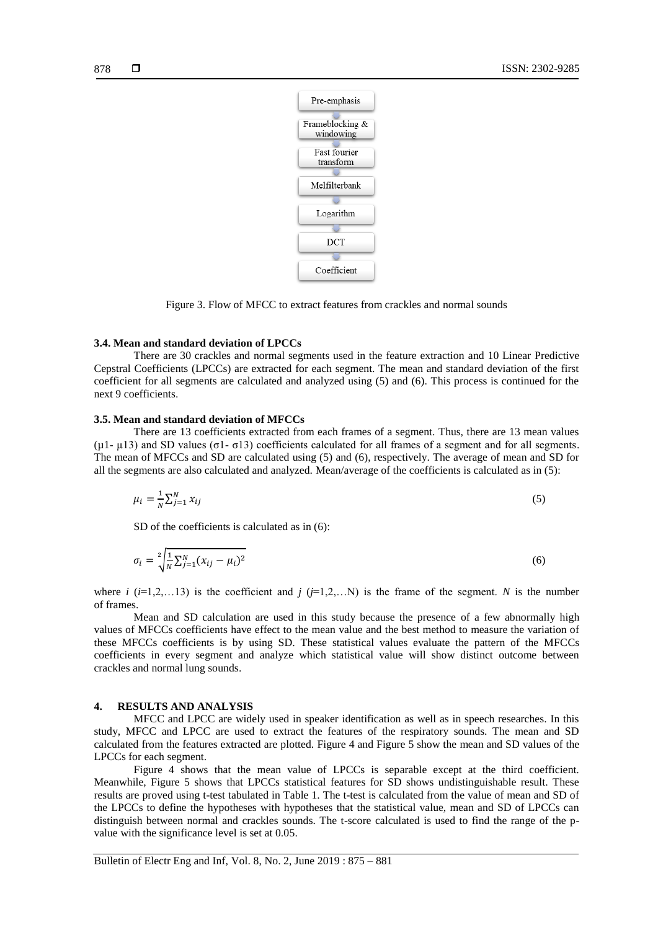

Figure 3. Flow of MFCC to extract features from crackles and normal sounds

#### **3.4. Mean and standard deviation of LPCCs**

There are 30 crackles and normal segments used in the feature extraction and 10 Linear Predictive Cepstral Coefficients (LPCCs) are extracted for each segment. The mean and standard deviation of the first coefficient for all segments are calculated and analyzed using (5) and (6). This process is continued for the next 9 coefficients.

# **3.5. Mean and standard deviation of MFCCs**

There are 13 coefficients extracted from each frames of a segment. Thus, there are 13 mean values (µ1- µ13) and SD values (σ1- σ13) coefficients calculated for all frames of a segment and for all segments. The mean of MFCCs and SD are calculated using (5) and (6), respectively. The average of mean and SD for all the segments are also calculated and analyzed. Mean/average of the coefficients is calculated as in (5):

$$
\mu_i = \frac{1}{N} \sum_{j=1}^N x_{ij} \tag{5}
$$

SD of the coefficients is calculated as in (6):

$$
\sigma_i = \sqrt[2]{\frac{1}{N} \sum_{j=1}^{N} (x_{ij} - \mu_i)^2}
$$
\n(6)

where *i* ( $i=1,2,...13$ ) is the coefficient and  $j$  ( $j=1,2,...N$ ) is the frame of the segment. *N* is the number of frames.

Mean and SD calculation are used in this study because the presence of a few abnormally high values of MFCCs coefficients have effect to the mean value and the best method to measure the variation of these MFCCs coefficients is by using SD. These statistical values evaluate the pattern of the MFCCs coefficients in every segment and analyze which statistical value will show distinct outcome between crackles and normal lung sounds.

#### **4. RESULTS AND ANALYSIS**

MFCC and LPCC are widely used in speaker identification as well as in speech researches. In this study, MFCC and LPCC are used to extract the features of the respiratory sounds. The mean and SD calculated from the features extracted are plotted. Figure 4 and Figure 5 show the mean and SD values of the LPCCs for each segment.

Figure 4 shows that the mean value of LPCCs is separable except at the third coefficient. Meanwhile, Figure 5 shows that LPCCs statistical features for SD shows undistinguishable result. These results are proved using t-test tabulated in Table 1. The t-test is calculated from the value of mean and SD of the LPCCs to define the hypotheses with hypotheses that the statistical value, mean and SD of LPCCs can distinguish between normal and crackles sounds. The t-score calculated is used to find the range of the pvalue with the significance level is set at 0.05.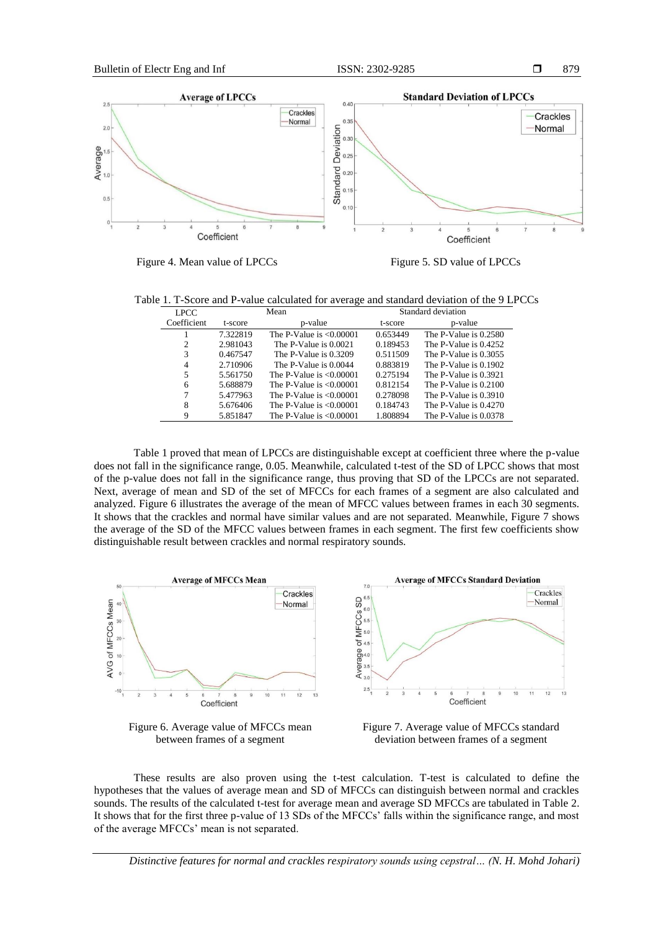879



Figure 4. Mean value of LPCCs Figure 5. SD value of LPCCs

Table 1. T-Score and P-value calculated for average and standard deviation of the 9 LPCCs

| <b>LPCC</b> | Mean     |                            | Standard deviation |                       |
|-------------|----------|----------------------------|--------------------|-----------------------|
| Coefficient | t-score  | p-value                    | t-score            | p-value               |
|             | 7.322819 | The P-Value is $< 0.00001$ | 0.653449           | The P-Value is 0.2580 |
| 2           | 2.981043 | The P-Value is 0.0021      | 0.189453           | The P-Value is 0.4252 |
| 3           | 0.467547 | The P-Value is $0.3209$    | 0.511509           | The P-Value is 0.3055 |
| 4           | 2.710906 | The P-Value is 0.0044      | 0.883819           | The P-Value is 0.1902 |
| 5           | 5.561750 | The P-Value is $< 0.00001$ | 0.275194           | The P-Value is 0.3921 |
| 6           | 5.688879 | The P-Value is $< 0.00001$ | 0.812154           | The P-Value is 0.2100 |
|             | 5.477963 | The P-Value is $< 0.00001$ | 0.278098           | The P-Value is 0.3910 |
| 8           | 5.676406 | The P-Value is $< 0.00001$ | 0.184743           | The P-Value is 0.4270 |
| q           | 5.851847 | The P-Value is $< 0.00001$ | 1.808894           | The P-Value is 0.0378 |

Table 1 proved that mean of LPCCs are distinguishable except at coefficient three where the p-value does not fall in the significance range, 0.05. Meanwhile, calculated t-test of the SD of LPCC shows that most of the p-value does not fall in the significance range, thus proving that SD of the LPCCs are not separated. Next, average of mean and SD of the set of MFCCs for each frames of a segment are also calculated and analyzed. Figure 6 illustrates the average of the mean of MFCC values between frames in each 30 segments. It shows that the crackles and normal have similar values and are not separated. Meanwhile, Figure 7 shows the average of the SD of the MFCC values between frames in each segment. The first few coefficients show distinguishable result between crackles and normal respiratory sounds.



Figure 6. Average value of MFCCs mean between frames of a segment



These results are also proven using the t-test calculation. T-test is calculated to define the hypotheses that the values of average mean and SD of MFCCs can distinguish between normal and crackles sounds. The results of the calculated t-test for average mean and average SD MFCCs are tabulated in Table 2. It shows that for the first three p-value of 13 SDs of the MFCCs' falls within the significance range, and most of the average MFCCs' mean is not separated.

*Distinctive features for normal and crackles respiratory sounds using cepstral… (N. H. Mohd Johari)*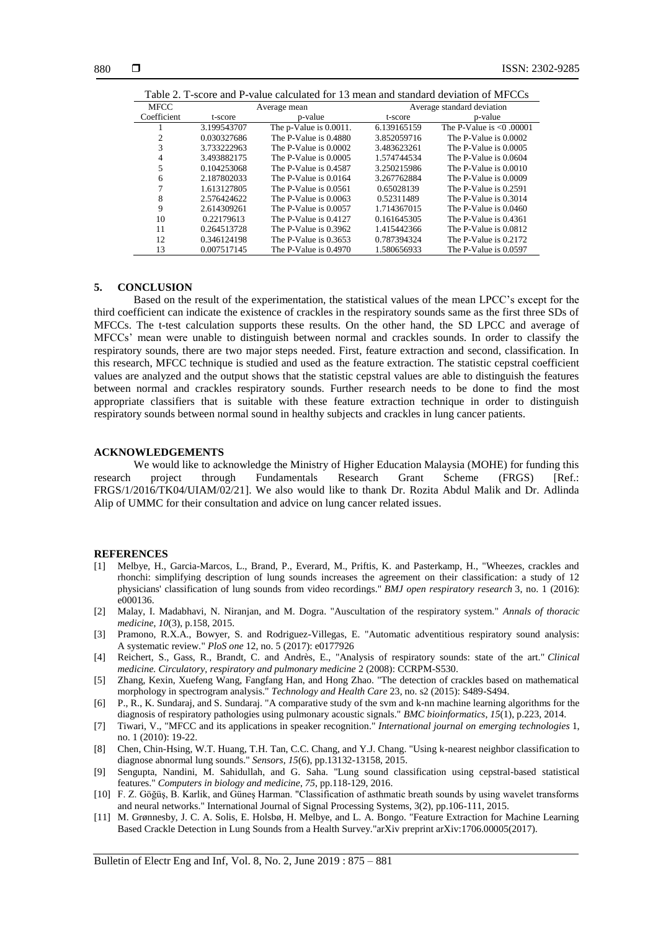| TADIC 2. T-SCOLE AND F-VANIC CALCULATED TO THE ANTIONAL STANDARD DEVIATION OF INTEREST |              |                              |                            |                            |  |  |  |
|----------------------------------------------------------------------------------------|--------------|------------------------------|----------------------------|----------------------------|--|--|--|
| <b>MFCC</b>                                                                            | Average mean |                              | Average standard deviation |                            |  |  |  |
| Coefficient                                                                            | t-score      | p-value                      | t-score                    | p-value                    |  |  |  |
|                                                                                        | 3.199543707  | The $p$ -Value is $0.0011$ . | 6.139165159                | The P-Value is $< 0.00001$ |  |  |  |
|                                                                                        | 0.030327686  | The P-Value is 0.4880        | 3.852059716                | The P-Value is 0.0002      |  |  |  |
| 3                                                                                      | 3.733222963  | The P-Value is 0.0002        | 3.483623261                | The P-Value is 0.0005      |  |  |  |
| 4                                                                                      | 3.493882175  | The P-Value is $0.0005$      | 1.574744534                | The P-Value is 0.0604      |  |  |  |
| 5                                                                                      | 0.104253068  | The P-Value is 0.4587        | 3.250215986                | The P-Value is $0.0010$    |  |  |  |
| 6                                                                                      | 2.187802033  | The P-Value is 0.0164        | 3.267762884                | The P-Value is 0.0009      |  |  |  |
|                                                                                        | 1.613127805  | The P-Value is 0.0561        | 0.65028139                 | The P-Value is 0.2591      |  |  |  |
| 8                                                                                      | 2.576424622  | The P-Value is 0.0063        | 0.52311489                 | The P-Value is 0.3014      |  |  |  |
| 9                                                                                      | 2.614309261  | The P-Value is 0.0057        | 1.714367015                | The P-Value is $0.0460$    |  |  |  |
| 10                                                                                     | 0.22179613   | The P-Value is 0.4127        | 0.161645305                | The P-Value is 0.4361      |  |  |  |
| 11                                                                                     | 0.264513728  | The P-Value is $0.3962$      | 1.415442366                | The P-Value is 0.0812      |  |  |  |
| 12                                                                                     | 0.346124198  | The P-Value is $0.3653$      | 0.787394324                | The P-Value is 0.2172      |  |  |  |
| 13                                                                                     | 0.007517145  | The P-Value is $0.4970$      | 1.580656933                | The P-Value is 0.0597      |  |  |  |

# Table 2. T-score and P-value calculated for 13 mean and standard deviation of MFCCs

#### **5. CONCLUSION**

Based on the result of the experimentation, the statistical values of the mean LPCC's except for the third coefficient can indicate the existence of crackles in the respiratory sounds same as the first three SDs of MFCCs. The t-test calculation supports these results. On the other hand, the SD LPCC and average of MFCCs' mean were unable to distinguish between normal and crackles sounds. In order to classify the respiratory sounds, there are two major steps needed. First, feature extraction and second, classification. In this research, MFCC technique is studied and used as the feature extraction. The statistic cepstral coefficient values are analyzed and the output shows that the statistic cepstral values are able to distinguish the features between normal and crackles respiratory sounds. Further research needs to be done to find the most appropriate classifiers that is suitable with these feature extraction technique in order to distinguish respiratory sounds between normal sound in healthy subjects and crackles in lung cancer patients.

# **ACKNOWLEDGEMENTS**

We would like to acknowledge the Ministry of Higher Education Malaysia (MOHE) for funding this project through Fundamentals Research Grant Scheme (FRGS) [Ref.: research project through Fundamentals Research Grant Scheme (FRGS) [Ref.: FRGS/1/2016/TK04/UIAM/02/21]. We also would like to thank Dr. Rozita Abdul Malik and Dr. Adlinda Alip of UMMC for their consultation and advice on lung cancer related issues.

#### **REFERENCES**

- [1] Melbye, H., Garcia-Marcos, L., Brand, P., Everard, M., Priftis, K. and Pasterkamp, H., "Wheezes, crackles and rhonchi: simplifying description of lung sounds increases the agreement on their classification: a study of 12 physicians' classification of lung sounds from video recordings." *BMJ open respiratory research* 3, no. 1 (2016): e000136.
- [2] Malay, I. Madabhavi, N. Niranjan, and M. Dogra. "Auscultation of the respiratory system." *Annals of thoracic medicine*, *10*(3), p.158, 2015.
- [3] Pramono, R.X.A., Bowyer, S. and Rodriguez-Villegas, E. "Automatic adventitious respiratory sound analysis: A systematic review." *PloS one* 12, no. 5 (2017): e0177926
- [4] Reichert, S., Gass, R., Brandt, C. and Andrès, E., "Analysis of respiratory sounds: state of the art." *Clinical medicine. Circulatory, respiratory and pulmonary medicine* 2 (2008): CCRPM-S530.
- [5] Zhang, Kexin, Xuefeng Wang, Fangfang Han, and Hong Zhao. "The detection of crackles based on mathematical morphology in spectrogram analysis." *Technology and Health Care* 23, no. s2 (2015): S489-S494.
- [6] P., R., K. Sundaraj, and S. Sundaraj. "A comparative study of the svm and k-nn machine learning algorithms for the diagnosis of respiratory pathologies using pulmonary acoustic signals." *BMC bioinformatics*, *15*(1), p.223, 2014.
- [7] Tiwari, V., "MFCC and its applications in speaker recognition." *International journal on emerging technologies* 1, no. 1 (2010): 19-22.
- [8] Chen, Chin-Hsing, W.T. Huang, T.H. Tan, C.C. Chang, and Y.J. Chang. "Using k-nearest neighbor classification to diagnose abnormal lung sounds." *Sensors*, *15*(6), pp.13132-13158, 2015.
- [9] Sengupta, Nandini, M. Sahidullah, and G. Saha. "Lung sound classification using cepstral-based statistical features." *Computers in biology and medicine*, *75*, pp.118-129, 2016.
- [10] F. Z. Göğüş, B. Karlik, and Güneş Harman. "Classification of asthmatic breath sounds by using wavelet transforms and neural networks." International Journal of Signal Processing Systems, 3(2), pp.106-111, 2015.
- [11] M. Grønnesby, J. C. A. Solis, E. Holsbø, H. Melbye, and L. A. Bongo. "Feature Extraction for Machine Learning Based Crackle Detection in Lung Sounds from a Health Survey."arXiv preprint arXiv:1706.00005(2017).